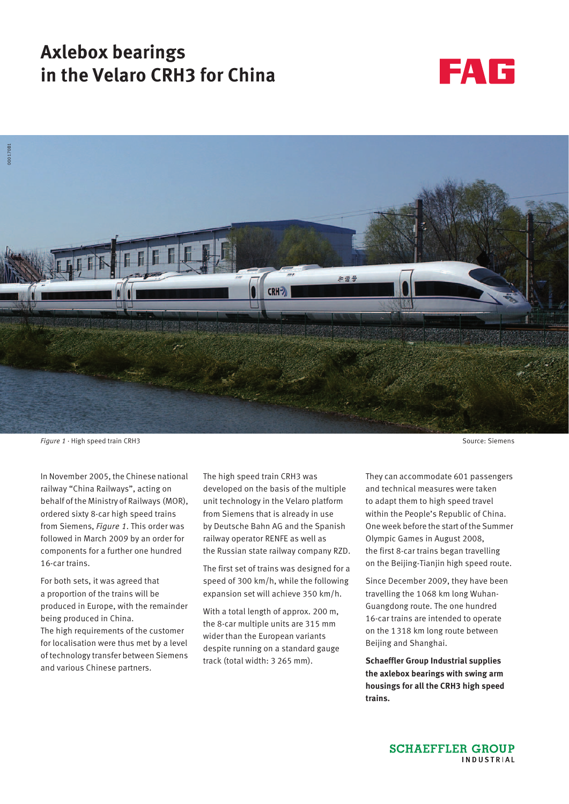# **Axlebox bearings in the Velaro CRH3 for China**





**Figure 1 · High speed train CRH3** Source: Siemens

In November 2005, the Chinese national railway "China Railways", acting on behalf of the Ministry of Railways (MOR), ordered sixty 8-car high speed trains from Siemens, *Figure 1*. This order was followed in March 2009 by an order for components for a further one hundred 16-car trains.

For both sets, it was agreed that a proportion of the trains will be produced in Europe, with the remainder being produced in China. The high requirements of the customer for localisation were thus met by a level of technology transfer between Siemens and various Chinese partners.

The high speed train CRH3 was developed on the basis of the multiple unit technology in the Velaro platform from Siemens that is already in use by Deutsche Bahn AG and the Spanish railway operator RENFE as well as the Russian state railway company RZD.

The first set of trains was designed for a speed of 300 km/h, while the following expansion set will achieve 350 km/h.

With a total length of approx. 200 m, the 8-car multiple units are 315 mm wider than the European variants despite running on a standard gauge track (total width: 3 265 mm).

They can accommodate 601 passengers and technical measures were taken to adapt them to high speed travel within the People's Republic of China. One week before the start of the Summer Olympic Games in August 2008, the first 8-car trains began travelling on the Beijing-Tianjin high speed route.

Since December 2009, they have been travelling the 1068 km long Wuhan-Guangdong route. The one hundred 16-car trains are intended to operate on the 1318 km long route between Beijing and Shanghai.

**Schaeffler Group Industrial supplies the axlebox bearings with swing arm housings for all the CRH3 high speed trains.**